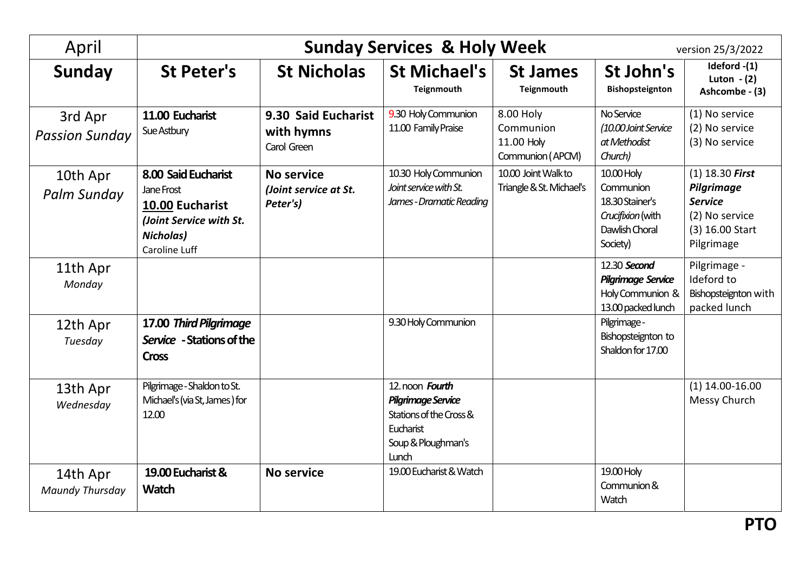| April                              | <b>Sunday Services &amp; Holy Week</b><br>version 25/3/2022                                                                 |                                                        |                                                                                                                     |                                                          |                                                                                               |                                                                                                      |  |  |
|------------------------------------|-----------------------------------------------------------------------------------------------------------------------------|--------------------------------------------------------|---------------------------------------------------------------------------------------------------------------------|----------------------------------------------------------|-----------------------------------------------------------------------------------------------|------------------------------------------------------------------------------------------------------|--|--|
| Sunday                             | <b>St Peter's</b>                                                                                                           | <b>St Nicholas</b>                                     | <b>St Michael's</b><br>Teignmouth                                                                                   | <b>St James</b><br>Teignmouth                            | St John's<br>Bishopsteignton                                                                  | Ideford -(1)<br>Luton $-(2)$<br>Ashcombe - (3)                                                       |  |  |
| 3rd Apr<br><b>Passion Sunday</b>   | 11.00 Eucharist<br>Sue Astbury                                                                                              | 9.30 Said Eucharist<br>with hymns<br>Carol Green       | 9.30 Holy Communion<br>11.00 Family Praise                                                                          | 8.00 Holy<br>Communion<br>11.00 Holy<br>Communion (APCM) | No Service<br>(10.00 Joint Service<br>at Methodist<br>Church)                                 | (1) No service<br>(2) No service<br>(3) No service                                                   |  |  |
| 10th Apr<br>Palm Sunday            | 8.00 Said Eucharist<br>Jane Frost<br>10.00 Eucharist<br>(Joint Service with St.<br><b>Nicholas)</b><br><b>Caroline Luff</b> | <b>No service</b><br>(Joint service at St.<br>Peter's) | 10.30 Holy Communion<br>Joint service with St.<br>James - Dramatic Reading                                          | 10.00 Joint Walkto<br>Triangle & St. Michael's           | 10.00 Holy<br>Communion<br>18.30 Stainer's<br>Crucifixion (with<br>Dawlish Choral<br>Society) | $(1)$ 18.30 First<br>Pilgrimage<br><b>Service</b><br>(2) No service<br>(3) 16.00 Start<br>Pilgrimage |  |  |
| 11th Apr<br>Monday                 |                                                                                                                             |                                                        |                                                                                                                     |                                                          | 12.30 Second<br><b>Pilgrimage Service</b><br>Holy Communion &<br>13.00 packed lunch           | Pilgrimage -<br>Ideford to<br>Bishopsteignton with<br>packed lunch                                   |  |  |
| 12th Apr<br>Tuesday                | 17.00 Third Pilgrimage<br>Service - Stations of the<br><b>Cross</b>                                                         |                                                        | 9.30 Holy Communion                                                                                                 |                                                          | Pilgrimage -<br>Bishopsteignton to<br>Shaldon for 17.00                                       |                                                                                                      |  |  |
| 13th Apr<br>Wednesday              | Pilgrimage - Shaldon to St.<br>Michael's (via St, James) for<br>12.00                                                       |                                                        | 12. noon Fourth<br><b>Pilgrimage Service</b><br>Stations of the Cross &<br>Eucharist<br>Soup & Ploughman's<br>Lunch |                                                          |                                                                                               | $(1)$ 14.00-16.00<br>Messy Church                                                                    |  |  |
| 14th Apr<br><b>Maundy Thursday</b> | 19.00 Eucharist &<br><b>Watch</b>                                                                                           | <b>No service</b>                                      | 19.00 Eucharist & Watch                                                                                             |                                                          | 19.00 Holy<br>Communion &<br>Watch                                                            |                                                                                                      |  |  |